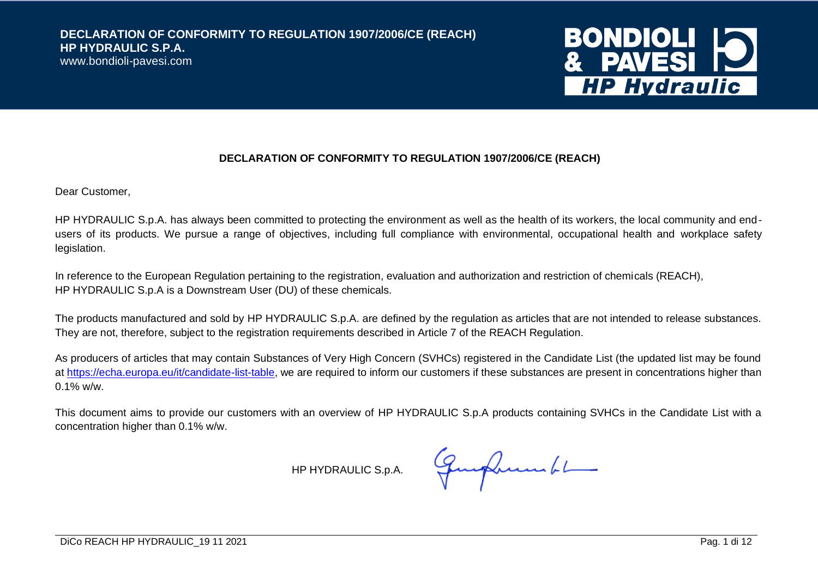www.bondioli-pavesi.com



#### **DECLARATION OF CONFORMITY TO REGULATION 1907/2006/CE (REACH)**

Dear Customer,

HP HYDRAULIC S.p.A. has always been committed to protecting the environment as well as the health of its workers, the local community and endusers of its products. We pursue a range of objectives, including full compliance with environmental, occupational health and workplace safety legislation.

In reference to the European Regulation pertaining to the registration, evaluation and authorization and restriction of chemicals (REACH), HP HYDRAULIC S.p.A is a Downstream User (DU) of these chemicals.

The products manufactured and sold by HP HYDRAULIC S.p.A. are defined by the regulation as articles that are not intended to release substances. They are not, therefore, subject to the registration requirements described in Article 7 of the REACH Regulation.

As producers of articles that may contain Substances of Very High Concern (SVHCs) registered in the Candidate List (the updated list may be found at [https://echa.europa.eu/it/candidate-list-table,](https://echa.europa.eu/it/candidate-list-table) we are required to inform our customers if these substances are present in concentrations higher than 0.1% w/w.

This document aims to provide our customers with an overview of HP HYDRAULIC S.p.A products containing SVHCs in the Candidate List with a concentration higher than 0.1% w/w.

HP HYDRAULIC S.p.A. George Summer 61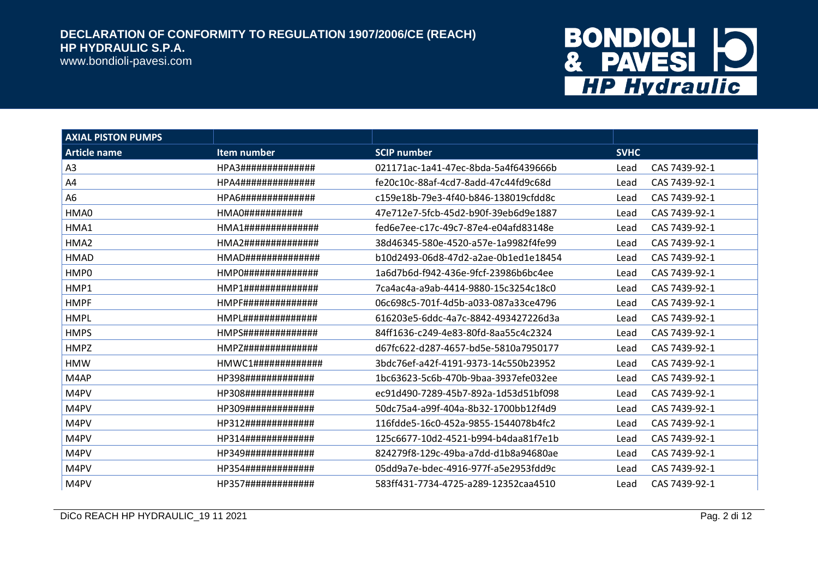www.bondioli-pavesi.com

| <b>AXIAL PISTON PUMPS</b> |                           |                                      |             |               |
|---------------------------|---------------------------|--------------------------------------|-------------|---------------|
| <b>Article name</b>       | Item number               | <b>SCIP number</b>                   | <b>SVHC</b> |               |
| A3                        | HPA3##############        | 021171ac-1a41-47ec-8bda-5a4f6439666b | Lead        | CAS 7439-92-1 |
| A4                        | HPA4##############        | fe20c10c-88af-4cd7-8add-47c44fd9c68d | Lead        | CAS 7439-92-1 |
| A <sub>6</sub>            | HPA6##############        | c159e18b-79e3-4f40-b846-138019cfdd8c | Lead        | CAS 7439-92-1 |
| HMA0                      | $HMAO$ ################## | 47e712e7-5fcb-45d2-b90f-39eb6d9e1887 | Lead        | CAS 7439-92-1 |
| HMA1                      |                           | fed6e7ee-c17c-49c7-87e4-e04afd83148e | Lead        | CAS 7439-92-1 |
| HMA <sub>2</sub>          |                           | 38d46345-580e-4520-a57e-1a9982f4fe99 | Lead        | CAS 7439-92-1 |
| <b>HMAD</b>               |                           | b10d2493-06d8-47d2-a2ae-0b1ed1e18454 | Lead        | CAS 7439-92-1 |
| HMP0                      | $HMPO$ ###############    | 1a6d7b6d-f942-436e-9fcf-23986b6bc4ee | Lead        | CAS 7439-92-1 |
| HMP1                      | HMP1##############        | 7ca4ac4a-a9ab-4414-9880-15c3254c18c0 | Lead        | CAS 7439-92-1 |
| <b>HMPF</b>               |                           | 06c698c5-701f-4d5b-a033-087a33ce4796 | Lead        | CAS 7439-92-1 |
| <b>HMPL</b>               |                           | 616203e5-6ddc-4a7c-8842-493427226d3a | Lead        | CAS 7439-92-1 |
| <b>HMPS</b>               |                           | 84ff1636-c249-4e83-80fd-8aa55c4c2324 | Lead        | CAS 7439-92-1 |
| <b>HMPZ</b>               |                           | d67fc622-d287-4657-bd5e-5810a7950177 | Lead        | CAS 7439-92-1 |
| <b>HMW</b>                |                           | 3bdc76ef-a42f-4191-9373-14c550b23952 | Lead        | CAS 7439-92-1 |
| M4AP                      | HP398#############        | 1bc63623-5c6b-470b-9baa-3937efe032ee | Lead        | CAS 7439-92-1 |
| M4PV                      | HP308#############        | ec91d490-7289-45b7-892a-1d53d51bf098 | Lead        | CAS 7439-92-1 |
| M4PV                      | HP309#############        | 50dc75a4-a99f-404a-8b32-1700bb12f4d9 | Lead        | CAS 7439-92-1 |
| M4PV                      | HP312#############        | 116fdde5-16c0-452a-9855-1544078b4fc2 | Lead        | CAS 7439-92-1 |
| M4PV                      | HP314#############        | 125c6677-10d2-4521-b994-b4daa81f7e1b | Lead        | CAS 7439-92-1 |
| M4PV                      | HP349#############        | 824279f8-129c-49ba-a7dd-d1b8a94680ae | Lead        | CAS 7439-92-1 |
| M4PV                      | HP354#############        | 05dd9a7e-bdec-4916-977f-a5e2953fdd9c | Lead        | CAS 7439-92-1 |
| M4PV                      | HP357#############        | 583ff431-7734-4725-a289-12352caa4510 | Lead        | CAS 7439-92-1 |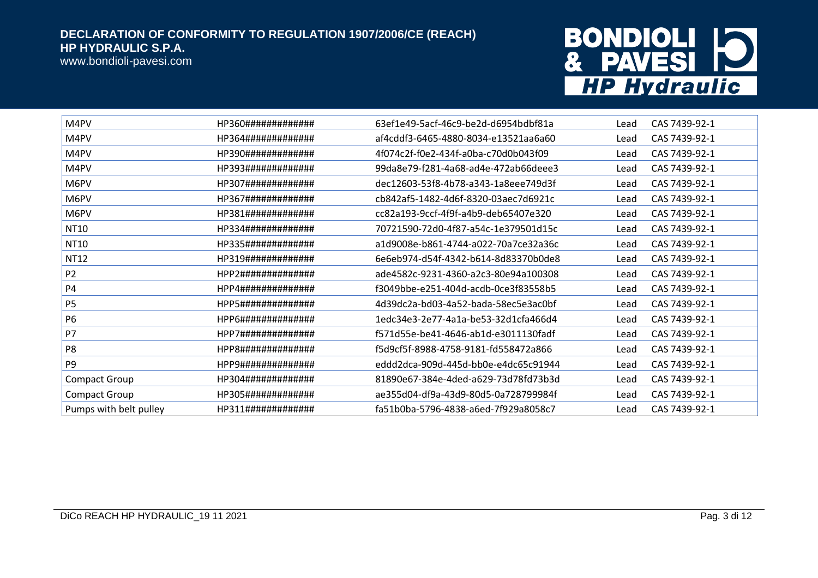

| M4PV                   | HP360############# | 63ef1e49-5acf-46c9-be2d-d6954bdbf81a | Lead | CAS 7439-92-1 |
|------------------------|--------------------|--------------------------------------|------|---------------|
| M4PV                   | HP364############# | af4cddf3-6465-4880-8034-e13521aa6a60 | Lead | CAS 7439-92-1 |
| M4PV                   | HP390############# | 4f074c2f-f0e2-434f-a0ba-c70d0b043f09 | Lead | CAS 7439-92-1 |
| M4PV                   | HP393############# | 99da8e79-f281-4a68-ad4e-472ab66deee3 | Lead | CAS 7439-92-1 |
| M6PV                   | HP307############# | dec12603-53f8-4b78-a343-1a8eee749d3f | Lead | CAS 7439-92-1 |
| M6PV                   | HP367############# | cb842af5-1482-4d6f-8320-03aec7d6921c | Lead | CAS 7439-92-1 |
| M6PV                   | HP381############# | cc82a193-9ccf-4f9f-a4b9-deb65407e320 | Lead | CAS 7439-92-1 |
| NT10                   | HP334############# | 70721590-72d0-4f87-a54c-1e379501d15c | Lead | CAS 7439-92-1 |
| NT10                   | HP335############# | a1d9008e-b861-4744-a022-70a7ce32a36c | Lead | CAS 7439-92-1 |
| <b>NT12</b>            | HP319############# | 6e6eb974-d54f-4342-b614-8d83370b0de8 | Lead | CAS 7439-92-1 |
| P <sub>2</sub>         | HPP2############## | ade4582c-9231-4360-a2c3-80e94a100308 | Lead | CAS 7439-92-1 |
| P4                     | HPP4############## | f3049bbe-e251-404d-acdb-0ce3f83558b5 | Lead | CAS 7439-92-1 |
| P <sub>5</sub>         | HPP5############## | 4d39dc2a-bd03-4a52-bada-58ec5e3ac0bf | Lead | CAS 7439-92-1 |
| P <sub>6</sub>         | HPP6############## | 1edc34e3-2e77-4a1a-be53-32d1cfa466d4 | Lead | CAS 7439-92-1 |
| P7                     | HPP7############## | f571d55e-be41-4646-ab1d-e3011130fadf | Lead | CAS 7439-92-1 |
| P <sub>8</sub>         | HPP8############## | f5d9cf5f-8988-4758-9181-fd558472a866 | Lead | CAS 7439-92-1 |
| P <sub>9</sub>         | HPP9############## | eddd2dca-909d-445d-bb0e-e4dc65c91944 | Lead | CAS 7439-92-1 |
| <b>Compact Group</b>   | HP304############# | 81890e67-384e-4ded-a629-73d78fd73b3d | Lead | CAS 7439-92-1 |
| <b>Compact Group</b>   | HP305############# | ae355d04-df9a-43d9-80d5-0a728799984f | Lead | CAS 7439-92-1 |
| Pumps with belt pulley | HP311############# | fa51b0ba-5796-4838-a6ed-7f929a8058c7 | Lead | CAS 7439-92-1 |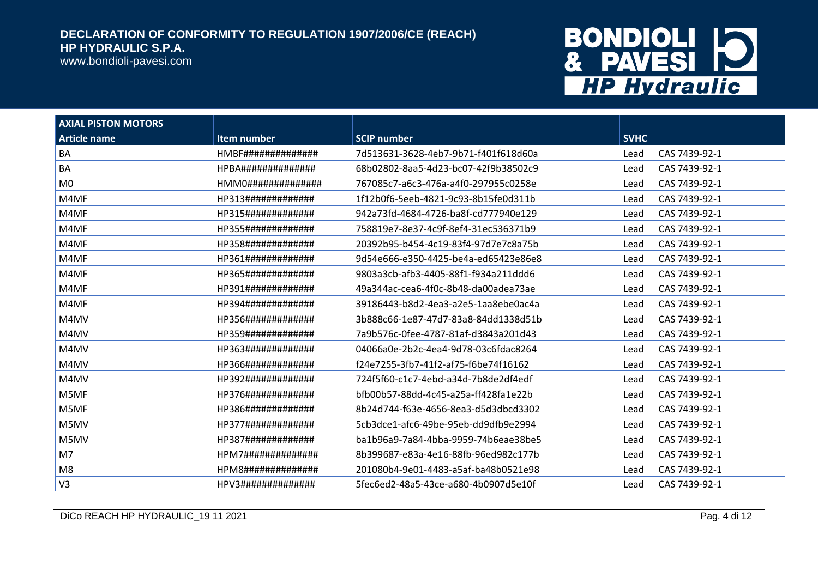www.bondioli-pavesi.com

| <b>AXIAL PISTON MOTORS</b> |                           |                                      |             |               |
|----------------------------|---------------------------|--------------------------------------|-------------|---------------|
| <b>Article name</b>        | Item number               | <b>SCIP</b> number                   | <b>SVHC</b> |               |
| BA                         | <b>HMBF##############</b> | 7d513631-3628-4eb7-9b71-f401f618d60a | Lead        | CAS 7439-92-1 |
| BA                         | <b>HPBA##############</b> | 68b02802-8aa5-4d23-bc07-42f9b38502c9 | Lead        | CAS 7439-92-1 |
| M <sub>0</sub>             | HMMO################      | 767085c7-a6c3-476a-a4f0-297955c0258e | Lead        | CAS 7439-92-1 |
| M4MF                       | HP313#############        | 1f12b0f6-5eeb-4821-9c93-8b15fe0d311b | Lead        | CAS 7439-92-1 |
| M4MF                       | HP315#############        | 942a73fd-4684-4726-ba8f-cd777940e129 | Lead        | CAS 7439-92-1 |
| M4MF                       | HP355#############        | 758819e7-8e37-4c9f-8ef4-31ec536371b9 | Lead        | CAS 7439-92-1 |
| M4MF                       | HP358#############        | 20392b95-b454-4c19-83f4-97d7e7c8a75b | Lead        | CAS 7439-92-1 |
| M4MF                       | HP361#############        | 9d54e666-e350-4425-be4a-ed65423e86e8 | Lead        | CAS 7439-92-1 |
| M4MF                       | HP365#############        | 9803a3cb-afb3-4405-88f1-f934a211ddd6 | Lead        | CAS 7439-92-1 |
| M4MF                       | HP391#############        | 49a344ac-cea6-4f0c-8b48-da00adea73ae | Lead        | CAS 7439-92-1 |
| M4MF                       | HP394#############        | 39186443-b8d2-4ea3-a2e5-1aa8ebe0ac4a | Lead        | CAS 7439-92-1 |
| M4MV                       | HP356#############        | 3b888c66-1e87-47d7-83a8-84dd1338d51b | Lead        | CAS 7439-92-1 |
| M4MV                       | HP359#############        | 7a9b576c-0fee-4787-81af-d3843a201d43 | Lead        | CAS 7439-92-1 |
| M4MV                       | HP363#############        | 04066a0e-2b2c-4ea4-9d78-03c6fdac8264 | Lead        | CAS 7439-92-1 |
| M4MV                       | HP366#############        | f24e7255-3fb7-41f2-af75-f6be74f16162 | Lead        | CAS 7439-92-1 |
| M4MV                       | HP392#############        | 724f5f60-c1c7-4ebd-a34d-7b8de2df4edf | Lead        | CAS 7439-92-1 |
| M5MF                       | HP376#############        | hfb00b57-88dd-4c45-a25a-ff428fa1e22b | Lead        | CAS 7439-92-1 |
| M5MF                       | HP386#############        | 8b24d744-f63e-4656-8ea3-d5d3dbcd3302 | Lead        | CAS 7439-92-1 |
| M5MV                       | HP377#############        | 5cb3dce1-afc6-49be-95eb-dd9dfb9e2994 | Lead        | CAS 7439-92-1 |
| M5MV                       | HP387#############        | ba1b96a9-7a84-4bba-9959-74b6eae38be5 | Lead        | CAS 7439-92-1 |
| M7                         | HPM7##############        | 8b399687-e83a-4e16-88fb-96ed982c177b | Lead        | CAS 7439-92-1 |
| M <sub>8</sub>             | HPM8##############        | 201080b4-9e01-4483-a5af-ba48b0521e98 | Lead        | CAS 7439-92-1 |
| V <sub>3</sub>             | HPV3##############        | 5fec6ed2-48a5-43ce-a680-4b0907d5e10f | Lead        | CAS 7439-92-1 |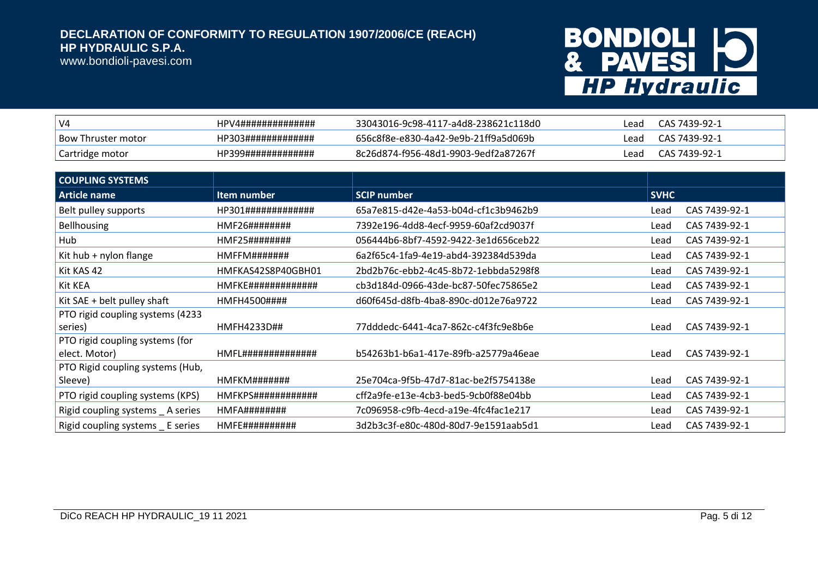www.bondioli-pavesi.com

| V <sub>4</sub>     | HPV4############## | 33043016-9c98-4117-a4d8-238621c118d0 | Lead | CAS 7439-92-1 |
|--------------------|--------------------|--------------------------------------|------|---------------|
| Bow Thruster motor | HP303############# | 656c8f8e-e830-4a42-9e9b-21ff9a5d069b | Lead | CAS 7439-92-1 |
| Cartridge motor    | HP399############# | 8c26d874-f956-48d1-9903-9edf2a87267f | Lead | CAS 7439-92-1 |

| <b>COUPLING SYSTEMS</b>           |                        |                                      |             |               |
|-----------------------------------|------------------------|--------------------------------------|-------------|---------------|
| Article name                      | Item number            | <b>SCIP number</b>                   | <b>SVHC</b> |               |
| Belt pulley supports              | HP301#############     | 65a7e815-d42e-4a53-b04d-cf1c3b9462b9 | Lead        | CAS 7439-92-1 |
| <b>Bellhousing</b>                | HMF26########          | 7392e196-4dd8-4ecf-9959-60af2cd9037f | Lead        | CAS 7439-92-1 |
| Hub                               | HMF25########          | 056444b6-8bf7-4592-9422-3e1d656ceb22 | Lead        | CAS 7439-92-1 |
| Kit hub + nylon flange            | HMFFM#######           | 6a2f65c4-1fa9-4e19-abd4-392384d539da | Lead        | CAS 7439-92-1 |
| Kit KAS 42                        | HMFKAS42S8P40GBH01     | 2bd2b76c-ebb2-4c45-8b72-1ebbda5298f8 | Lead        | CAS 7439-92-1 |
| Kit KEA                           | HMFKE#############     | cb3d184d-0966-43de-bc87-50fec75865e2 | Lead        | CAS 7439-92-1 |
| Kit SAE + belt pulley shaft       | HMFH4500####           | d60f645d-d8fb-4ba8-890c-d012e76a9722 | Lead        | CAS 7439-92-1 |
| PTO rigid coupling systems (4233  |                        |                                      |             |               |
| series)                           | HMFH4233D##            | 77dddedc-6441-4ca7-862c-c4f3fc9e8b6e | Lead        | CAS 7439-92-1 |
| PTO rigid coupling systems (for   |                        |                                      |             |               |
| elect. Motor)                     | HMFL##############     | b54263b1-b6a1-417e-89fb-a25779a46eae | Lead        | CAS 7439-92-1 |
| PTO Rigid coupling systems (Hub,  |                        |                                      |             |               |
| Sleeve)                           | HMFKM#######           | 25e704ca-9f5b-47d7-81ac-be2f5754138e | Lead        | CAS 7439-92-1 |
| PTO rigid coupling systems (KPS)  | HMFKPS############     | cff2a9fe-e13e-4cb3-bed5-9cb0f88e04bb | Lead        | CAS 7439-92-1 |
| Rigid coupling systems _ A series | HMFA########           | 7c096958-c9fb-4ecd-a19e-4fc4fac1e217 | Lead        | CAS 7439-92-1 |
| Rigid coupling systems _ E series | $HMFE$ ############### | 3d2b3c3f-e80c-480d-80d7-9e1591aab5d1 | Lead        | CAS 7439-92-1 |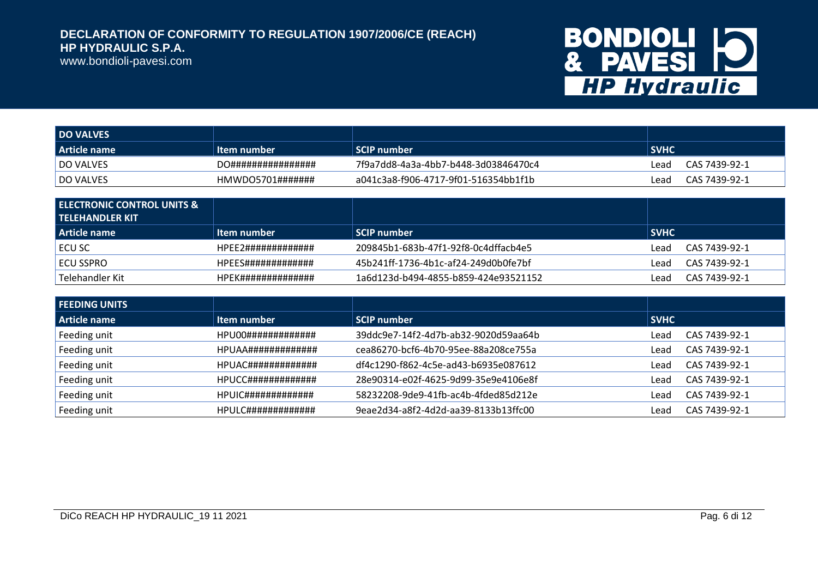

| <b>DO VALVES</b> |                    |                                      |                       |
|------------------|--------------------|--------------------------------------|-----------------------|
| Article name     | Item number        | SCIP number                          | <b>SVHC</b>           |
| DO VALVES        | DO################ | 7f9a7dd8-4a3a-4bb7-b448-3d03846470c4 | CAS 7439-92-1<br>read |
| DO VALVES        | HMWDO5701#######   | a041c3a8-f906-4717-9f01-516354bb1f1b | CAS 7439-92-1<br>Lead |

| <b>LELECTRONIC CONTROL UNITS &amp; 1</b><br>l TELEHANDLER KIT |                    |                                      |                       |
|---------------------------------------------------------------|--------------------|--------------------------------------|-----------------------|
| Article name                                                  | Item number        | SCIP number                          | <b>SVHC</b>           |
| ECU SC                                                        | HPFF2############# | 209845b1-683b-47f1-92f8-0c4dffacb4e5 | CAS 7439-92-1<br>Lead |
| I ECU SSPRO                                                   | HPEES############# | 45b241ff-1736-4b1c-af24-249d0b0fe7bf | CAS 7439-92-1<br>Lead |
| Telehandler Kit                                               | HPEK############## | 1a6d123d-b494-4855-b859-424e93521152 | CAS 7439-92-1<br>Lead |

| l FEEDING UNITS |                                     |                                      |             |               |
|-----------------|-------------------------------------|--------------------------------------|-------------|---------------|
| Article name    | Item number                         | <b>SCIP number</b>                   | <b>SVHC</b> |               |
| Feeding unit    | $HPI100$ ########################## | 39ddc9e7-14f2-4d7b-ab32-9020d59aa64b | Lead        | CAS 7439-92-1 |
| Feeding unit    | <b>HPUAA##############</b>          | cea86270-bcf6-4b70-95ee-88a208ce755a | Lead        | CAS 7439-92-1 |
| Feeding unit    | HPUAC#############                  | df4c1290-f862-4c5e-ad43-b6935e087612 | Lead        | CAS 7439-92-1 |
| Feeding unit    | <b>HPUCC##############</b>          | 28e90314-e02f-4625-9d99-35e9e4106e8f | Lead        | CAS 7439-92-1 |
| Feeding unit    |                                     | 58232208-9de9-41fb-ac4b-4fded85d212e | Lead        | CAS 7439-92-1 |
| Feeding unit    | <b>HPULC##############</b>          | 9eae2d34-a8f2-4d2d-aa39-8133b13ffc00 | Lead        | CAS 7439-92-1 |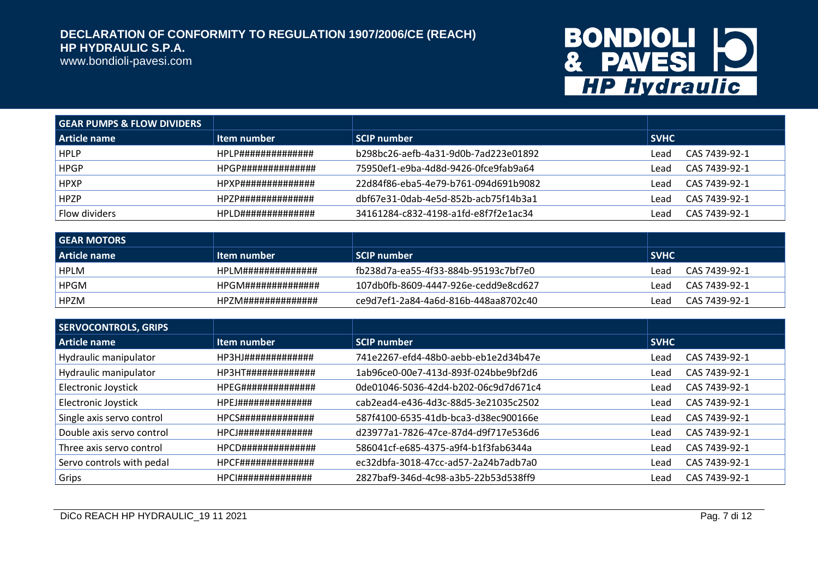www.bondioli-pavesi.com

| <b>GEAR PUMPS &amp; FLOW DIVIDERS</b> |                    |                                      |                       |
|---------------------------------------|--------------------|--------------------------------------|-----------------------|
| Article name                          | Item number        | <b>SCIP number</b>                   | <b>SVHC</b>           |
| <b>HPLP</b>                           | HPLP############## | b298bc26-aefb-4a31-9d0b-7ad223e01892 | CAS 7439-92-1<br>Lead |
| <b>HPGP</b>                           | HPGP############## | 75950ef1-e9ba-4d8d-9426-0fce9fab9a64 | CAS 7439-92-1<br>Lead |
| <b>HPXP</b>                           | HPXP############## | 22d84f86-eba5-4e79-b761-094d691b9082 | CAS 7439-92-1<br>Lead |
| <b>HPZP</b>                           | HP7P############## | dbf67e31-0dab-4e5d-852b-acb75f14b3a1 | CAS 7439-92-1<br>Lead |
| Flow dividers                         | HPLD############## | 34161284-c832-4198-a1fd-e8f7f2e1ac34 | CAS 7439-92-1<br>Lead |

| l GEAR MOTORS |                    |                                      |                       |
|---------------|--------------------|--------------------------------------|-----------------------|
| Article name  | Item number        | SCIP number                          | <b>SVHC</b>           |
| <b>HPLM</b>   | HPLM############## | fb238d7a-ea55-4f33-884b-95193c7bf7e0 | CAS 7439-92-1<br>Lead |
| <b>HPGM</b>   | HPGM############## | 107db0fb-8609-4447-926e-cedd9e8cd627 | CAS 7439-92-1<br>Lead |
| <b>HPZM</b>   | HPZM############## | ce9d7ef1-2a84-4a6d-816b-448aa8702c40 | CAS 7439-92-1<br>Lead |

| <b>SERVOCONTROLS, GRIPS</b> |                                            |                                      |                       |
|-----------------------------|--------------------------------------------|--------------------------------------|-----------------------|
| Article name                | Item number                                | <b>SCIP number</b>                   | <b>SVHC</b>           |
| Hydraulic manipulator       | HP3HJ#############                         | 741e2267-efd4-48b0-aebb-eb1e2d34b47e | CAS 7439-92-1<br>Lead |
| Hydraulic manipulator       | HP3HT#############                         | 1ab96ce0-00e7-413d-893f-024bbe9bf2d6 | CAS 7439-92-1<br>Lead |
| <b>Electronic Joystick</b>  | HPEG##############                         | 0de01046-5036-42d4-b202-06c9d7d671c4 | CAS 7439-92-1<br>Lead |
| <b>Electronic Joystick</b>  | <b>HPEJ##############</b>                  | cab2ead4-e436-4d3c-88d5-3e21035c2502 | CAS 7439-92-1<br>Lead |
| Single axis servo control   | <b>HPCS###############################</b> | 587f4100-6535-41db-bca3-d38ec900166e | CAS 7439-92-1<br>Lead |
| Double axis servo control   | HPCJ##############                         | d23977a1-7826-47ce-87d4-d9f717e536d6 | CAS 7439-92-1<br>Lead |
| Three axis servo control    | <b>HPCD##############</b>                  | 586041cf-e685-4375-a9f4-b1f3fab6344a | CAS 7439-92-1<br>Lead |
| Servo controls with pedal   | <b>HPCF###############</b>                 | ec32dbfa-3018-47cc-ad57-2a24b7adb7a0 | CAS 7439-92-1<br>Lead |
| Grips                       | <b>HPCI###############</b>                 | 2827baf9-346d-4c98-a3b5-22b53d538ff9 | CAS 7439-92-1<br>Lead |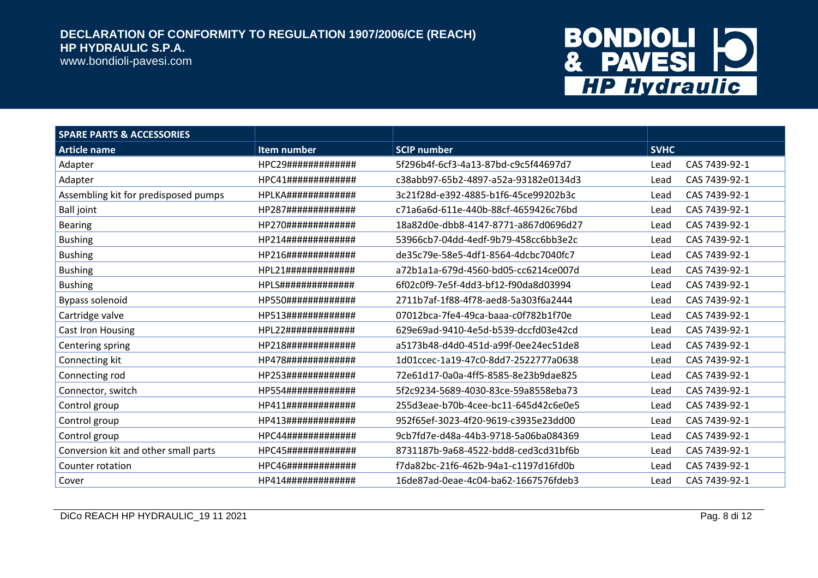www.bondioli-pavesi.com

| <b>SPARE PARTS &amp; ACCESSORIES</b> |                           |                                      |             |               |
|--------------------------------------|---------------------------|--------------------------------------|-------------|---------------|
| <b>Article name</b>                  | Item number               | <b>SCIP number</b>                   | <b>SVHC</b> |               |
| Adapter                              | HPC29#############        | 5f296b4f-6cf3-4a13-87bd-c9c5f44697d7 | Lead        | CAS 7439-92-1 |
| Adapter                              | HPC41#############        | c38abb97-65b2-4897-a52a-93182e0134d3 | Lead        | CAS 7439-92-1 |
| Assembling kit for predisposed pumps | HPLKA#############        | 3c21f28d-e392-4885-b1f6-45ce99202b3c | Lead        | CAS 7439-92-1 |
| <b>Ball joint</b>                    | HP287#############        | c71a6a6d-611e-440b-88cf-4659426c76bd | Lead        | CAS 7439-92-1 |
| <b>Bearing</b>                       | HP270#############        | 18a82d0e-dbb8-4147-8771-a867d0696d27 | Lead        | CAS 7439-92-1 |
| <b>Bushing</b>                       | HP214#############        | 53966cb7-04dd-4edf-9b79-458cc6bb3e2c | Lead        | CAS 7439-92-1 |
| <b>Bushing</b>                       | HP216#############        | de35c79e-58e5-4df1-8564-4dcbc7040fc7 | Lead        | CAS 7439-92-1 |
| <b>Bushing</b>                       | HPL21#############        | a72b1a1a-679d-4560-bd05-cc6214ce007d | Lead        | CAS 7439-92-1 |
| <b>Bushing</b>                       | <b>HPLS##############</b> | 6f02c0f9-7e5f-4dd3-bf12-f90da8d03994 | Lead        | CAS 7439-92-1 |
| Bypass solenoid                      | HP550#############        | 2711b7af-1f88-4f78-aed8-5a303f6a2444 | Lead        | CAS 7439-92-1 |
| Cartridge valve                      | HP513#############        | 07012bca-7fe4-49ca-baaa-c0f782b1f70e | Lead        | CAS 7439-92-1 |
| Cast Iron Housing                    | HPL22#############        | 629e69ad-9410-4e5d-b539-dccfd03e42cd | Lead        | CAS 7439-92-1 |
| Centering spring                     | HP218#############        | a5173b48-d4d0-451d-a99f-0ee24ec51de8 | Lead        | CAS 7439-92-1 |
| Connecting kit                       | HP478#############        | 1d01ccec-1a19-47c0-8dd7-2522777a0638 | Lead        | CAS 7439-92-1 |
| Connecting rod                       | HP253#############        | 72e61d17-0a0a-4ff5-8585-8e23b9dae825 | Lead        | CAS 7439-92-1 |
| Connector, switch                    | HP554#############        | 5f2c9234-5689-4030-83ce-59a8558eba73 | Lead        | CAS 7439-92-1 |
| Control group                        | HP411#############        | 255d3eae-b70b-4cee-bc11-645d42c6e0e5 | Lead        | CAS 7439-92-1 |
| Control group                        | HP413#############        | 952f65ef-3023-4f20-9619-c3935e23dd00 | Lead        | CAS 7439-92-1 |
| Control group                        | HPC44#############        | 9cb7fd7e-d48a-44b3-9718-5a06ba084369 | Lead        | CAS 7439-92-1 |
| Conversion kit and other small parts | HPC45#############        | 8731187b-9a68-4522-bdd8-ced3cd31bf6b | Lead        | CAS 7439-92-1 |
| Counter rotation                     | HPC46#############        | f7da82bc-21f6-462b-94a1-c1197d16fd0b | Lead        | CAS 7439-92-1 |
| Cover                                | HP414#############        | 16de87ad-0eae-4c04-ba62-1667576fdeb3 | Lead        | CAS 7439-92-1 |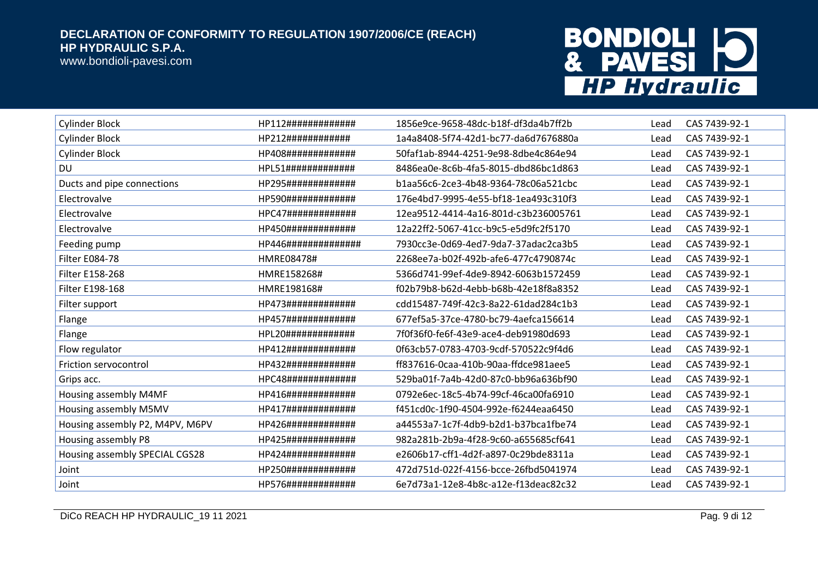

| <b>Cylinder Block</b>           | HP112#############  | 1856e9ce-9658-48dc-b18f-df3da4b7ff2b | Lead | CAS 7439-92-1 |
|---------------------------------|---------------------|--------------------------------------|------|---------------|
| <b>Cylinder Block</b>           | HP212############   | 1a4a8408-5f74-42d1-bc77-da6d7676880a | Lead | CAS 7439-92-1 |
| <b>Cylinder Block</b>           | HP408#############  | 50faf1ab-8944-4251-9e98-8dbe4c864e94 | Lead | CAS 7439-92-1 |
| DU                              | HPL51#############  | 8486ea0e-8c6b-4fa5-8015-dbd86bc1d863 | Lead | CAS 7439-92-1 |
| Ducts and pipe connections      | HP295#############  | b1aa56c6-2ce3-4b48-9364-78c06a521cbc | Lead | CAS 7439-92-1 |
| Electrovalve                    | HP590#############  | 176e4bd7-9995-4e55-bf18-1ea493c310f3 | Lead | CAS 7439-92-1 |
| Electrovalve                    | HPC47#############  | 12ea9512-4414-4a16-801d-c3b236005761 | Lead | CAS 7439-92-1 |
| Electrovalve                    | HP450#############  | 12a22ff2-5067-41cc-b9c5-e5d9fc2f5170 | Lead | CAS 7439-92-1 |
| Feeding pump                    | HP446############## | 7930cc3e-0d69-4ed7-9da7-37adac2ca3b5 | Lead | CAS 7439-92-1 |
| Filter E084-78                  | HMRE08478#          | 2268ee7a-b02f-492b-afe6-477c4790874c | Lead | CAS 7439-92-1 |
| Filter E158-268                 | HMRE158268#         | 5366d741-99ef-4de9-8942-6063b1572459 | Lead | CAS 7439-92-1 |
| Filter E198-168                 | HMRE198168#         | f02b79b8-b62d-4ebb-b68b-42e18f8a8352 | Lead | CAS 7439-92-1 |
| Filter support                  | HP473#############  | cdd15487-749f-42c3-8a22-61dad284c1b3 | Lead | CAS 7439-92-1 |
| Flange                          | HP457#############  | 677ef5a5-37ce-4780-bc79-4aefca156614 | Lead | CAS 7439-92-1 |
| Flange                          | HPL20#############  | 7f0f36f0-fe6f-43e9-ace4-deb91980d693 | Lead | CAS 7439-92-1 |
| Flow regulator                  | HP412#############  | 0f63cb57-0783-4703-9cdf-570522c9f4d6 | Lead | CAS 7439-92-1 |
| Friction servocontrol           | HP432#############  | ff837616-0caa-410b-90aa-ffdce981aee5 | Lead | CAS 7439-92-1 |
| Grips acc.                      | HPC48#############  | 529ba01f-7a4b-42d0-87c0-bb96a636bf90 | Lead | CAS 7439-92-1 |
| Housing assembly M4MF           | HP416#############  | 0792e6ec-18c5-4b74-99cf-46ca00fa6910 | Lead | CAS 7439-92-1 |
| Housing assembly M5MV           | HP417#############  | f451cd0c-1f90-4504-992e-f6244eaa6450 | Lead | CAS 7439-92-1 |
| Housing assembly P2, M4PV, M6PV | HP426#############  | a44553a7-1c7f-4db9-b2d1-b37bca1fbe74 | Lead | CAS 7439-92-1 |
| Housing assembly P8             | HP425#############  | 982a281b-2b9a-4f28-9c60-a655685cf641 | Lead | CAS 7439-92-1 |
| Housing assembly SPECIAL CGS28  | HP424#############  | e2606b17-cff1-4d2f-a897-0c29bde8311a | Lead | CAS 7439-92-1 |
| Joint                           | HP250#############  | 472d751d-022f-4156-bcce-26fbd5041974 | Lead | CAS 7439-92-1 |
| Joint                           | HP576#############  | 6e7d73a1-12e8-4b8c-a12e-f13deac82c32 | Lead | CAS 7439-92-1 |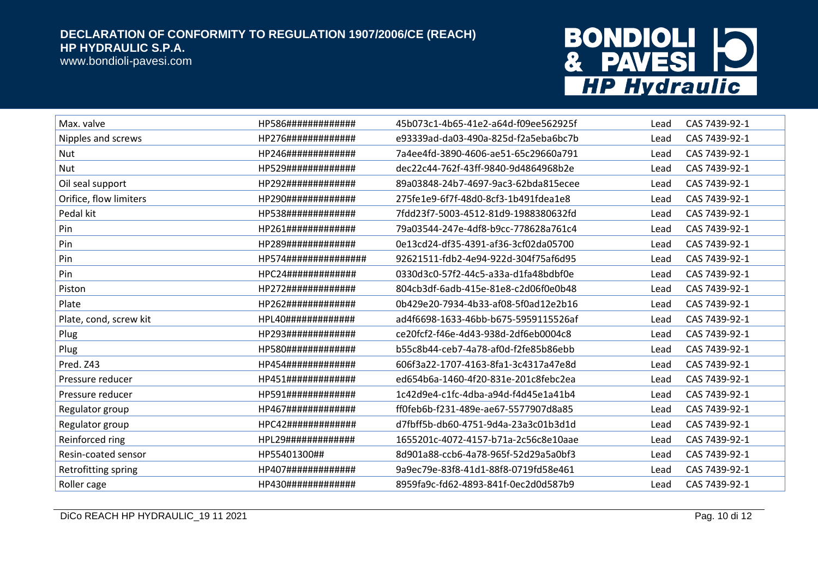

| Max. valve             | HP586#############   | 45b073c1-4b65-41e2-a64d-f09ee562925f | Lead | CAS 7439-92-1 |
|------------------------|----------------------|--------------------------------------|------|---------------|
| Nipples and screws     | HP276#############   | e93339ad-da03-490a-825d-f2a5eba6bc7b | Lead | CAS 7439-92-1 |
| Nut                    | HP246#############   | 7a4ee4fd-3890-4606-ae51-65c29660a791 | Lead | CAS 7439-92-1 |
| Nut                    | HP529#############   | dec22c44-762f-43ff-9840-9d4864968b2e | Lead | CAS 7439-92-1 |
| Oil seal support       | HP292#############   | 89a03848-24b7-4697-9ac3-62bda815ecee | Lead | CAS 7439-92-1 |
| Orifice, flow limiters | HP290#############   | 275fe1e9-6f7f-48d0-8cf3-1b491fdea1e8 | Lead | CAS 7439-92-1 |
| Pedal kit              | HP538#############   | 7fdd23f7-5003-4512-81d9-1988380632fd | Lead | CAS 7439-92-1 |
| Pin                    | HP261#############   | 79a03544-247e-4df8-b9cc-778628a761c4 | Lead | CAS 7439-92-1 |
| Pin                    | HP289#############   | 0e13cd24-df35-4391-af36-3cf02da05700 | Lead | CAS 7439-92-1 |
| Pin                    | HP574############### | 92621511-fdb2-4e94-922d-304f75af6d95 | Lead | CAS 7439-92-1 |
| Pin                    | HPC24#############   | 0330d3c0-57f2-44c5-a33a-d1fa48bdbf0e | Lead | CAS 7439-92-1 |
| Piston                 | HP272#############   | 804cb3df-6adb-415e-81e8-c2d06f0e0b48 | Lead | CAS 7439-92-1 |
| Plate                  | HP262#############   | 0b429e20-7934-4b33-af08-5f0ad12e2b16 | Lead | CAS 7439-92-1 |
| Plate, cond, screw kit | HPL40#############   | ad4f6698-1633-46bb-b675-5959115526af | Lead | CAS 7439-92-1 |
| Plug                   | HP293#############   | ce20fcf2-f46e-4d43-938d-2df6eb0004c8 | Lead | CAS 7439-92-1 |
| Plug                   | HP580#############   | b55c8b44-ceb7-4a78-af0d-f2fe85b86ebb | Lead | CAS 7439-92-1 |
| Pred. Z43              | HP454#############   | 606f3a22-1707-4163-8fa1-3c4317a47e8d | Lead | CAS 7439-92-1 |
| Pressure reducer       | HP451#############   | ed654b6a-1460-4f20-831e-201c8febc2ea | Lead | CAS 7439-92-1 |
| Pressure reducer       | HP591#############   | 1c42d9e4-c1fc-4dba-a94d-f4d45e1a41b4 | Lead | CAS 7439-92-1 |
| Regulator group        | HP467#############   | ff0feb6b-f231-489e-ae67-5577907d8a85 | Lead | CAS 7439-92-1 |
| Regulator group        | HPC42#############   | d7fbff5b-db60-4751-9d4a-23a3c01b3d1d | Lead | CAS 7439-92-1 |
| Reinforced ring        | HPL29#############   | 1655201c-4072-4157-b71a-2c56c8e10aae | Lead | CAS 7439-92-1 |
| Resin-coated sensor    | HP55401300##         | 8d901a88-ccb6-4a78-965f-52d29a5a0bf3 | Lead | CAS 7439-92-1 |
| Retrofitting spring    | HP407#############   | 9a9ec79e-83f8-41d1-88f8-0719fd58e461 | Lead | CAS 7439-92-1 |
| Roller cage            | HP430#############   | 8959fa9c-fd62-4893-841f-0ec2d0d587b9 | Lead | CAS 7439-92-1 |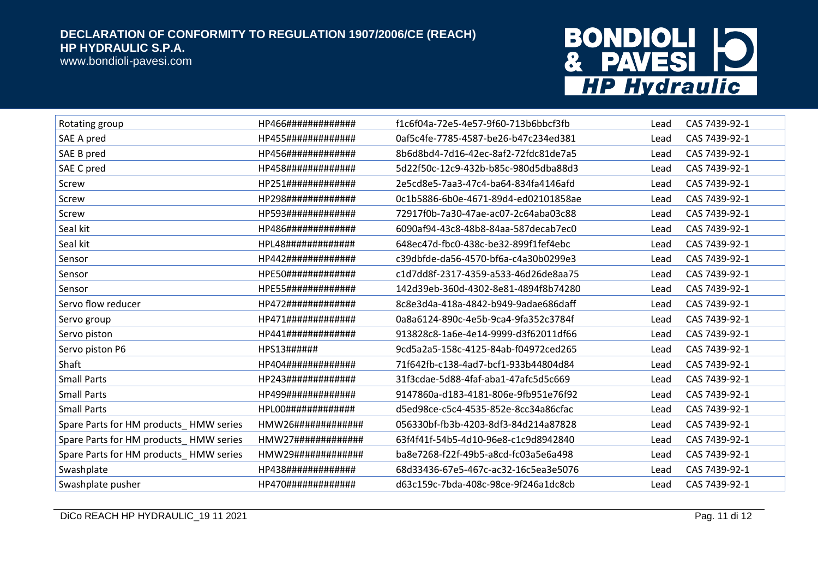

| Rotating group                         | HP466#############     | f1c6f04a-72e5-4e57-9f60-713b6bbcf3fb | Lead | CAS 7439-92-1 |
|----------------------------------------|------------------------|--------------------------------------|------|---------------|
| SAE A pred                             | HP455#############     | 0af5c4fe-7785-4587-be26-b47c234ed381 | Lead | CAS 7439-92-1 |
| SAE B pred                             | HP456#############     | 8b6d8bd4-7d16-42ec-8af2-72fdc81de7a5 | Lead | CAS 7439-92-1 |
| SAE C pred                             | HP458#############     | 5d22f50c-12c9-432b-b85c-980d5dba88d3 | Lead | CAS 7439-92-1 |
| Screw                                  | HP251#############     | 2e5cd8e5-7aa3-47c4-ba64-834fa4146afd | Lead | CAS 7439-92-1 |
| Screw                                  | HP298#############     | 0c1b5886-6b0e-4671-89d4-ed02101858ae | Lead | CAS 7439-92-1 |
| Screw                                  | HP593#############     | 72917f0b-7a30-47ae-ac07-2c64aba03c88 | Lead | CAS 7439-92-1 |
| Seal kit                               | HP486#############     | 6090af94-43c8-48b8-84aa-587decab7ec0 | Lead | CAS 7439-92-1 |
| Seal kit                               | HPL48#############     | 648ec47d-fbc0-438c-be32-899f1fef4ebc | Lead | CAS 7439-92-1 |
| Sensor                                 | HP442#############     | c39dbfde-da56-4570-bf6a-c4a30b0299e3 | Lead | CAS 7439-92-1 |
| Sensor                                 | HPE50#############     | c1d7dd8f-2317-4359-a533-46d26de8aa75 | Lead | CAS 7439-92-1 |
| Sensor                                 | HPE55#############     | 142d39eb-360d-4302-8e81-4894f8b74280 | Lead | CAS 7439-92-1 |
| Servo flow reducer                     | HP472#############     | 8c8e3d4a-418a-4842-b949-9adae686daff | Lead | CAS 7439-92-1 |
| Servo group                            | HP471#############     | 0a8a6124-890c-4e5b-9ca4-9fa352c3784f | Lead | CAS 7439-92-1 |
| Servo piston                           | HP441#############     | 913828c8-1a6e-4e14-9999-d3f62011df66 | Lead | CAS 7439-92-1 |
| Servo piston P6                        | HPS13######            | 9cd5a2a5-158c-4125-84ab-f04972ced265 | Lead | CAS 7439-92-1 |
| Shaft                                  | HP404#############     | 71f642fb-c138-4ad7-bcf1-933b44804d84 | Lead | CAS 7439-92-1 |
| <b>Small Parts</b>                     | HP243#############     | 31f3cdae-5d88-4faf-aba1-47afc5d5c669 | Lead | CAS 7439-92-1 |
| <b>Small Parts</b>                     | HP499#############     | 9147860a-d183-4181-806e-9fb951e76f92 | Lead | CAS 7439-92-1 |
| <b>Small Parts</b>                     | HPL00#############     | d5ed98ce-c5c4-4535-852e-8cc34a86cfac | Lead | CAS 7439-92-1 |
| Spare Parts for HM products_HMW series | $HMW26$ ############## | 056330bf-fb3b-4203-8df3-84d214a87828 | Lead | CAS 7439-92-1 |
| Spare Parts for HM products_HMW series |                        | 63f4f41f-54b5-4d10-96e8-c1c9d8942840 | Lead | CAS 7439-92-1 |
| Spare Parts for HM products_HMW series | HMW29#############     | ba8e7268-f22f-49b5-a8cd-fc03a5e6a498 | Lead | CAS 7439-92-1 |
| Swashplate                             | HP438#############     | 68d33436-67e5-467c-ac32-16c5ea3e5076 | Lead | CAS 7439-92-1 |
| Swashplate pusher                      | HP470#############     | d63c159c-7bda-408c-98ce-9f246a1dc8cb | Lead | CAS 7439-92-1 |